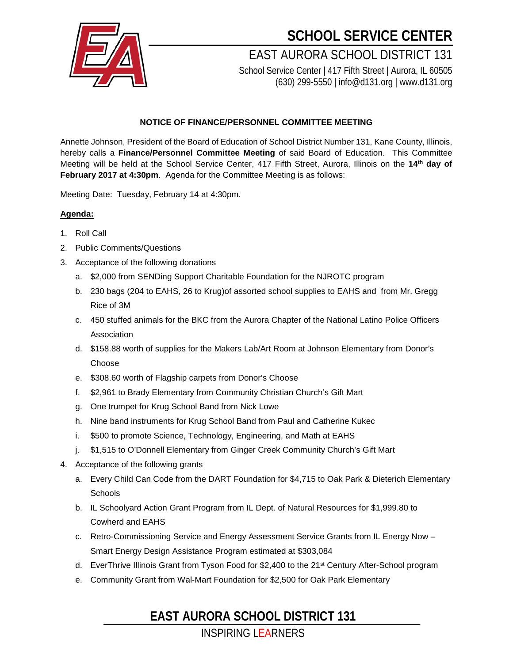

# **SCHOOL SERVICE CENTER**

EAST AURORA SCHOOL DISTRICT 131 School Service Center | 417 Fifth Street | Aurora, IL 60505

(630) 299-5550 | info@d131.org | www.d131.org

#### **NOTICE OF FINANCE/PERSONNEL COMMITTEE MEETING**

Annette Johnson, President of the Board of Education of School District Number 131, Kane County, Illinois, hereby calls a **Finance/Personnel Committee Meeting** of said Board of Education. This Committee Meeting will be held at the School Service Center, 417 Fifth Street, Aurora, Illinois on the **14th day of February 2017 at 4:30pm**. Agenda for the Committee Meeting is as follows:

Meeting Date: Tuesday, February 14 at 4:30pm.

#### **Agenda:**

- 1. Roll Call
- 2. Public Comments/Questions
- 3. Acceptance of the following donations
	- a. \$2,000 from SENDing Support Charitable Foundation for the NJROTC program
	- b. 230 bags (204 to EAHS, 26 to Krug)of assorted school supplies to EAHS and from Mr. Gregg Rice of 3M
	- c. 450 stuffed animals for the BKC from the Aurora Chapter of the National Latino Police Officers Association
	- d. \$158.88 worth of supplies for the Makers Lab/Art Room at Johnson Elementary from Donor's Choose
	- e. \$308.60 worth of Flagship carpets from Donor's Choose
	- f. \$2,961 to Brady Elementary from Community Christian Church's Gift Mart
	- g. One trumpet for Krug School Band from Nick Lowe
	- h. Nine band instruments for Krug School Band from Paul and Catherine Kukec
	- i. \$500 to promote Science, Technology, Engineering, and Math at EAHS
	- j. \$1,515 to O'Donnell Elementary from Ginger Creek Community Church's Gift Mart
- 4. Acceptance of the following grants
	- a. Every Child Can Code from the DART Foundation for \$4,715 to Oak Park & Dieterich Elementary **Schools**
	- b. IL Schoolyard Action Grant Program from IL Dept. of Natural Resources for \$1,999.80 to Cowherd and EAHS
	- c. Retro-Commissioning Service and Energy Assessment Service Grants from IL Energy Now Smart Energy Design Assistance Program estimated at \$303,084
	- d. EverThrive Illinois Grant from Tyson Food for \$2,400 to the 21<sup>st</sup> Century After-School program
	- e. Community Grant from Wal-Mart Foundation for \$2,500 for Oak Park Elementary

## **EAST AURORA SCHOOL DISTRICT 131**